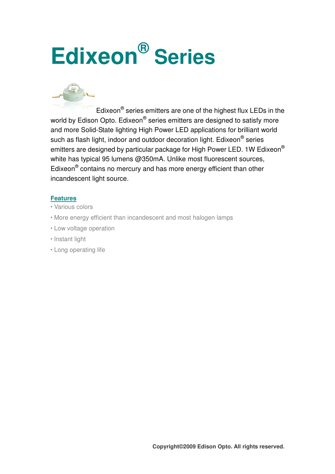# **Edixeon® Series**



Edixeon® series emitters are one of the highest flux LEDs in the world by Edison Opto. Edixeon® series emitters are designed to satisfy more and more Solid-State lighting High Power LED applications for brilliant world such as flash light, indoor and outdoor decoration light. Edixeon® series emitters are designed by particular package for High Power LED. 1W Edixeon® white has typical 95 lumens @350mA. Unlike most fluorescent sources, Edixeon<sup>®</sup> contains no mercury and has more energy efficient than other incandescent light source.

#### **Features**

- Various colors
- More energy efficient than incandescent and most halogen lamps
- Low voltage operation
- **· Instant light**
- Long operating life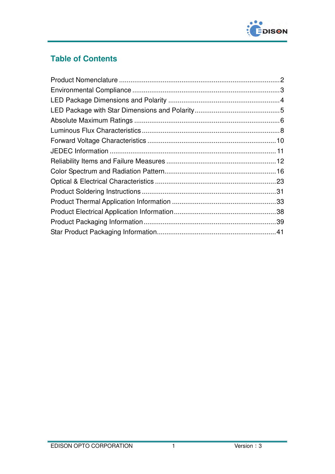

# **Table of Contents**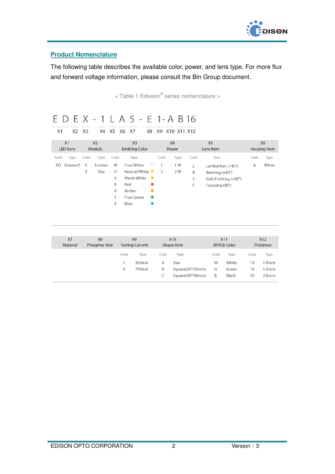

### **Product Nomenclature**

The following table describes the available color, power, and lens type. For more flux and forward voltage information, please consult the Bin Group document.

< Table 1 Edixeon® series nomenclature >

| X1       | X2                   | X3   | Х4             | X5   | E D E X - 1 L A 5 - E 1-A B 16<br>X8<br>X6<br>X7 | X9        | X10 X11 X12 |      |      |                                |      |              |
|----------|----------------------|------|----------------|------|--------------------------------------------------|-----------|-------------|------|------|--------------------------------|------|--------------|
| X1       |                      |      | X <sub>2</sub> |      | X <sub>3</sub>                                   |           | <b>X4</b>   |      |      | X <sub>5</sub>                 |      | <b>X6</b>    |
| LED Item |                      |      | Module         |      | <b>Emitting Color</b>                            |           | Power       |      |      | Lens Item                      |      | Housing Item |
| Code     | Type                 | Code | Type           | Code | Type                                             |           | Code        | Type | Code | Type                           | Code | Type         |
| ED       | Edixeon <sup>®</sup> | Ε    | Emitter        | W    | Cool White                                       | $\circ$   | 1           | 1 W  | L.   | Lambertian (140°)              | Α    | White        |
|          |                      | S    | Star           | H.   | Neutral White ●                                  |           | 3           | 3 W  | B    | Batwing $(\pm 40^{\circ})$     |      |              |
|          |                      |      |                | Χ    | Warm White                                       | $\bullet$ |             |      | S    | Side Emitting $(\pm 80^\circ)$ |      |              |
|          |                      |      |                | R    | Red                                              |           |             |      | F    | Focusing (80°)                 |      |              |
|          |                      |      |                | Α    | Amber                                            |           |             |      |      |                                |      |              |
|          |                      |      |                | т    | True Green                                       |           |             |      |      |                                |      |              |
|          |                      |      |                | B    | Blue                                             |           |             |      |      |                                |      |              |

 $X7$ X10 X12  $X8$ X9 X11 Material Phosphor Item **Testing Current** Shape Item Al PCB Color Thickness Code Type Code Type Code Type Code Type  $\mathbb{1}$ 350mA  $\mathsf A$ Star W White  $10$  $1.0<sub>mm</sub>$  $\overline{3}$ 700mA  $\mathsf B$ Square(25\*25mm) G Green 16  $1.6<sub>mm</sub>$  $\subset$ Square(30\*30mm)  $\mathsf B$ Black 20  $2.0<sub>mm</sub>$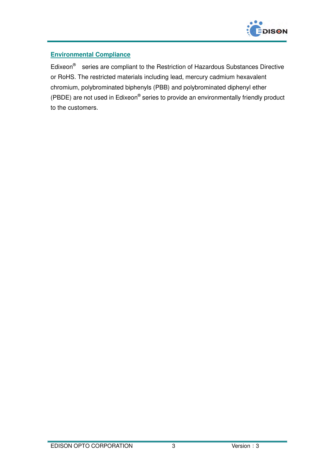

## **Environmental Compliance**

Edixeon<sup>®</sup> series are compliant to the Restriction of Hazardous Substances Directive or RoHS. The restricted materials including lead, mercury cadmium hexavalent chromium, polybrominated biphenyls (PBB) and polybrominated diphenyl ether (PBDE) are not used in Edixeon® series to provide an environmentally friendly product to the customers.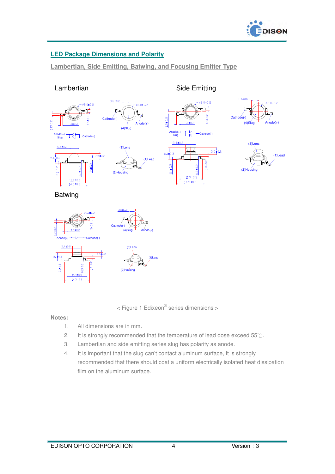

## **LED Package Dimensions and Polarity**

**Lambertian, Side Emitting, Batwing, and Focusing Emitter Type**

#### Lambertian Side Emitting







 $14.5 \pm 0.3$ 



Anode(+) Slug Architect Cathode(-)  $5.4 \pm 0.2$  $3.5\frac{1}{4}0.2$  $6.1\frac{1}{4}0.3$ 

 $11.9 ± 0$ 

 $\frac{14.5 \pm 0.3}{14.5 \pm 0.3}$ 

 $0.1 \pm 0.2$ 

8.0±0.2





Batwing





 $5.1$  $14.5 \pm 0.$ 



< Figure 1 Edixeon<sup>®</sup> series dimensions >

#### **Notes:**

- 1. All dimensions are in mm.
- 2. It is strongly recommended that the temperature of lead dose exceed 55℃.
- 3. Lambertian and side emitting series slug has polarity as anode.
- 4. It is important that the slug can't contact aluminum surface, It is strongly recommended that there should coat a uniform electrically isolated heat dissipation film on the aluminum surface.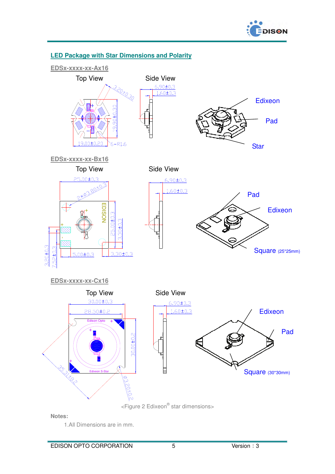



#### **LED Package with Star Dimensions and Polarity**

**Notes:** 

1.All Dimensions are in mm.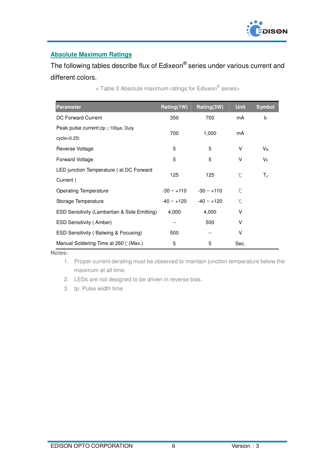

# **Absolute Maximum Ratings**

# The following tables describe flux of Edixeon® series under various current and different colors.

| <b>Parameter</b>                               | Rating(1W)   | Rating(3W)      | <b>Unit</b> | <b>Symbol</b> |
|------------------------------------------------|--------------|-----------------|-------------|---------------|
| DC Forward Current                             | 350          | 700             | mA          | IF.           |
| Peak pulse current; $(tp \le 100 \mu s$ , Duty | 700          |                 | mA          |               |
| $cycle=0.25$                                   |              | 1,000           |             |               |
| Reverse Voltage                                | 5            | 5               | v           | $V_{R}$       |
| <b>Forward Voltage</b>                         | 5            | 5               | V           | $V_F$         |
| LED junction Temperature (at DC Forward        | 125          | 125             | °C          | TJ            |
| Current)                                       |              |                 |             |               |
| <b>Operating Temperature</b>                   | $-30 - +110$ | $-30 \sim +110$ | °C          |               |
| Storage Temperature                            | -40 ~ +120   | $-40 - +120$    | °C          |               |
| ESD Sensitivity (Lambertian & Side Emitting)   | 4,000        | 4,000           | ٧           |               |
| <b>ESD Sensitivity (Amber)</b>                 |              | 500             | v           |               |
| ESD Sensitivity (Batwing & Focusing)           | 500          |                 | v           |               |
| Manual Soldering Time at 260°C (Max.)          | 5            | 5               | Sec.        |               |

< Table 2 Absolute maximum ratings for Edixeon® series>

**Notes:** 

1. Proper current derating must be observed to maintain junction temperature below the maximum at all time.

2. LEDs are not designed to be driven in reverse bias.

3. tp: Pulse width time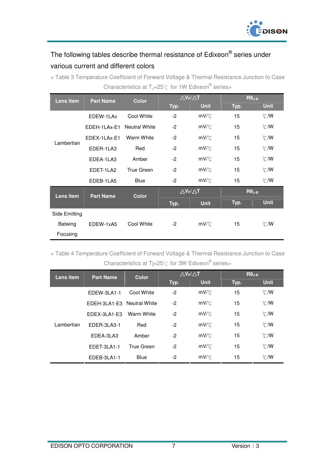

# The following tables describe thermal resistance of Edixeon® series under various current and different colors

< Table 3 Temperature Coefficient of Forward Voltage & Thermal Resistance Junction to Case Characteristics at  $T_J$ =25°C for 1W Edixeon® series>

| Lens Item        | <b>Part Name</b> | <b>Color</b>         | $\triangle V_F/\triangle T$ |                                      | $R\theta_{J-B}$ |                  |
|------------------|------------------|----------------------|-----------------------------|--------------------------------------|-----------------|------------------|
|                  |                  |                      | Typ.                        | <b>Unit</b>                          | Typ.            | <b>Unit</b>      |
|                  | EDEW-1LAx        | Cool White           | $-2$                        | $mV^{\circ}C$                        | 15              | $\mathcal{C}$ /W |
|                  | EDEH-1LAx-E1     | <b>Neutral White</b> | $-2$                        | $mV$ $\subset$                       | 15              | $\mathcal{C}$ /W |
| Lambertian       | EDEX-1LAx-E1     | Warm White           | $-2$                        | $mV$ <sup><math>\circ</math></sup> C | 15              | $\mathcal{C}$ /W |
|                  | EDER-1LA3        | Red                  | $-2$                        | $mV$ <sup><math>\circ</math></sup> C | 15              | $\mathcal{C}$ /W |
|                  | EDEA-1LA3        | Amber                | $-2$                        | $mV$ <sup><math>\circ</math></sup> C | 15              | $\mathcal{C}$ /W |
|                  | EDET-1LA2        | <b>True Green</b>    | $-2$                        | $mV$ $\subset$                       | 15              | $\mathcal{C}$ /W |
|                  | EDEB-1LA5        | <b>Blue</b>          | $-2$                        | $mV^{\circ}C$                        | 15              | $\mathcal{C}$ /W |
| <b>Lens Item</b> | <b>Part Name</b> | <b>Color</b>         | $\triangle V_F/\triangle T$ |                                      | $R\theta_{J-B}$ |                  |
|                  |                  |                      | Typ.                        | <b>Unit</b>                          | Typ.            | <b>Unit</b>      |
| Side Emitting    |                  |                      |                             |                                      |                 |                  |
| Batwing          | EDEW-1xA5        | Cool White           | $-2$                        | $mV$ <sup><math>\circ</math></sup> C | 15              | $^{\circ}$ CMV   |
| Focusing         |                  |                      |                             |                                      |                 |                  |

< Table 4 Temperature Coefficient of Forward Voltage & Thermal Resistance Junction to Case Characteristics at Tj=25 $\degree$ C for 3W Edixeon $\degree$  series>

| Lens Item  | <b>Part Name</b>           | <b>Color</b> |      | $\triangle V_F/\triangle T$          |      | $R\theta_{J-B}$  |
|------------|----------------------------|--------------|------|--------------------------------------|------|------------------|
|            |                            |              | Typ. | <b>Unit</b>                          | Typ. | <b>Unit</b>      |
|            | EDEW-3LA1-1                | Cool White   | $-2$ | $mV^{\circ}C$                        | 15   | $\mathcal{C}$ /W |
|            | EDEH-3LA1-E3 Neutral White |              | $-2$ | $mV$ <sup><math>\circ</math></sup> C | 15   | $\mathcal{C}$ /W |
|            | EDEX-3LA1-E3               | Warm White   | $-2$ | $mV^{\circ}C$                        | 15   | $\mathcal{C}$ /W |
| Lambertian | EDER-3LA3-1                | Red          | $-2$ | $mV$ <sup><math>\circ</math></sup> C | 15   | $\mathcal{C}$ /W |
|            | EDEA-3LA3                  | Amber        | $-2$ | $mV^{\circ}C$                        | 15   | $^{\circ}$ C/W   |
|            | EDET-3LA1-1                | True Green   | -2   | $mV$ <sup><math>\circ</math></sup> C | 15   | $^{\circ}$ C/W   |
|            | EDEB-3LA1-1                | <b>Blue</b>  | -2   | $mV$ <sup>o</sup> $C$                | 15   | $^{\circ}$ C/W   |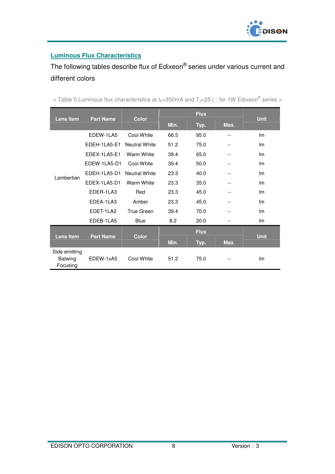

## **Luminous Flux Characteristics**

The following tables describe flux of Edixeon® series under various current and different colors

| <b>Lens Item</b>                     | <b>Part Name</b>  | <b>Color</b>      |      | <b>Flux</b> |      | <b>Unit</b> |
|--------------------------------------|-------------------|-------------------|------|-------------|------|-------------|
|                                      |                   |                   | Min. | Typ.        | Max. |             |
|                                      | EDEW-1LA5         | Cool White        | 66.5 | 95.0        | --   | Im          |
|                                      | EDEH-1LA5-E1      | Neutral White     | 51.2 | 75.0        | --   | Im          |
|                                      | EDEX-1LA5-E1      | Warm White        | 39.4 | 65.0        | $-$  | Im          |
|                                      | EDEW-1LA5-D1      | Cool White        | 39.4 | 50.0        | --   | Im          |
| Lambertian                           | EDEH-1LA5-D1      | Neutral White     | 23.3 | 40.0        | --   | Im          |
|                                      | EDEX-1LA5-D1      | Warm White        | 23.3 | 35.0        | --   | Im          |
|                                      | EDER-1LA3         | Red               | 23.3 | 45.0        | --   | Im          |
|                                      | <b>FDFA-11 A3</b> | Amber             | 23.3 | 45.0        | --   | Im          |
|                                      | EDET-1LA2         | <b>True Green</b> | 39.4 | 70.0        | --   | Im          |
|                                      | EDEB-1LA5         | <b>Blue</b>       | 8.2  | 20.0        | --   | Im          |
|                                      |                   |                   |      | <b>Flux</b> |      |             |
| <b>Lens Item</b>                     | <b>Part Name</b>  | <b>Color</b>      | Min. | Typ.        | Max. | <b>Unit</b> |
| Side emitting<br>Batwing<br>Focusing | EDEW-1xA5         | Cool White        | 51.2 | 75.0        | --   | Im          |

< Table 5 Luminous flux characteristics at I<sub>F</sub>=350mA and T<sub>J</sub>=25℃: for 1W Edixeon<sup>®</sup> series >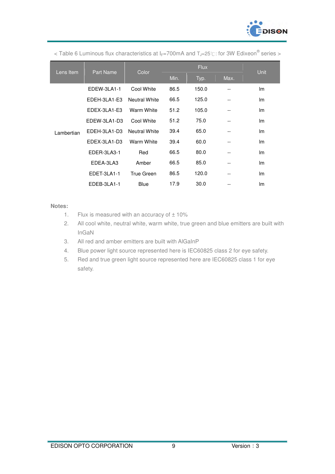

< Table 6 Luminous flux characteristics at I<sub>F</sub>=700mA and T<sub>J</sub>=25℃: for 3W Edixeon® series >

| Lens Item  | <b>Part Name</b> | Color                | <b>Flux</b> |       |      | <b>Unit</b> |
|------------|------------------|----------------------|-------------|-------|------|-------------|
|            |                  |                      | Min.        | Typ.  | Max. |             |
|            | EDEW-3LA1-1      | Cool White           | 86.5        | 150.0 | --   | Im          |
|            | EDEH-3LA1-E3     | <b>Neutral White</b> | 66.5        | 125.0 | --   | Im          |
|            | EDEX-3LA1-E3     | Warm White           |             | 105.0 | --   | Im          |
|            | EDEW-3LA1-D3     | Cool White           | 51.2        | 75.0  | --   | lm          |
| Lambertian | EDEH-3LA1-D3     | Neutral White        | 39.4        | 65.0  | --   | Im          |
|            | EDEX-3LA1-D3     | Warm White           | 39.4        | 60.0  | --   | Im          |
|            | EDER-3LA3-1      | Red                  | 66.5        | 80.0  | --   | Im          |
|            | EDEA-3LA3        | Amber                | 66.5        | 85.0  | --   | Im          |
|            | EDET-3LA1-1      | True Green           | 86.5        | 120.0 | --   | Im          |
|            | EDEB-3LA1-1      | <b>Blue</b>          | 17.9        | 30.0  | --   | Im          |

#### **Notes:**

- 1. Flux is measured with an accuracy of  $\pm$  10%
- 2. All cool white, neutral white, warm white, true green and blue emitters are built with InGaN
- 3. All red and amber emitters are built with AlGaInP
- 4. Blue power light source represented here is IEC60825 class 2 for eye safety.
- 5. Red and true green light source represented here are IEC60825 class 1 for eye safety.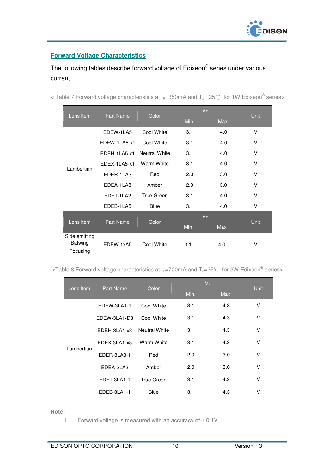

## **Forward Voltage Characteristics**

# The following tables describe forward voltage of Edixeon® series under various current.

| Lens Item                                   | Part Name        | Color                | $V_F$ |      | <b>Unit</b> |  |
|---------------------------------------------|------------------|----------------------|-------|------|-------------|--|
|                                             |                  |                      | Min.  | Max. |             |  |
|                                             | EDEW-1LA5        | Cool White           | 3.1   | 4.0  | v           |  |
|                                             | EDEW-1LA5-x1     | Cool White           | 3.1   | 4.0  | V           |  |
|                                             | EDEH-1LA5-x1     | <b>Neutral White</b> | 3.1   | 4.0  | V           |  |
| Lambertian                                  | EDEX-1LA5-x1     | Warm White           | 3.1   | 4.0  | V           |  |
|                                             | EDER-1LA3        | Red                  | 2.0   | 3.0  | $\vee$      |  |
|                                             | EDEA-1LA3        | Amber                | 2.0   | 3.0  | v           |  |
|                                             | EDET-1LA2        | True Green           | 3.1   | 4.0  | v           |  |
|                                             | EDEB-1LA5        | <b>Blue</b>          | 3.1   | 4.0  | v           |  |
|                                             |                  |                      | $V_F$ |      |             |  |
| Lens Item                                   | <b>Part Name</b> | Color                | Min   | Max  | <b>Unit</b> |  |
| Side emitting<br><b>Batwing</b><br>Focusing | EDEW-1xA5        | Cool White           | 3.1   | 4.0  | ٧           |  |

< Table 7 Forward voltage characteristics at I<sub>F</sub>=350mA and T<sub>J</sub> =25°C for 1W Edixeon<sup>®</sup> series>

<Table 8 Forward voltage characteristics at  $I_F$ =700mA and T<sub>J</sub>=25°C for 3W Edixeon® series>

| Lens Item  | <b>Part Name</b> | Color                | $V_F$ |      | <b>Unit</b> |  |
|------------|------------------|----------------------|-------|------|-------------|--|
|            |                  |                      | Min.  | Max. |             |  |
|            | EDEW-3LA1-1      | Cool White           | 3.1   | 4.3  | v           |  |
|            | EDEW-3LA1-D3     | Cool White           | 3.1   | 4.3  | ٧           |  |
|            | EDEH-3LA1-x3     | <b>Neutral White</b> | 3.1   | 4.3  | ٧           |  |
| Lambertian | EDEX-3LA1-x3     | <b>Warm White</b>    | 3.1   | 4.3  | V           |  |
|            | EDER-3LA3-1      | Red                  | 2.0   | 3.0  | V           |  |
|            | EDEA-3LA3        | Amber                | 2.0   | 3.0  | ٧           |  |
|            | EDET-3LA1-1      | True Green           | 3.1   | 4.3  | V           |  |
|            | EDEB-3LA1-1      | <b>Blue</b>          | 3.1   | 4.3  | ٧           |  |

**Note:** 

1. Forward voltage is measured with an accuracy of  $\pm$  0.1V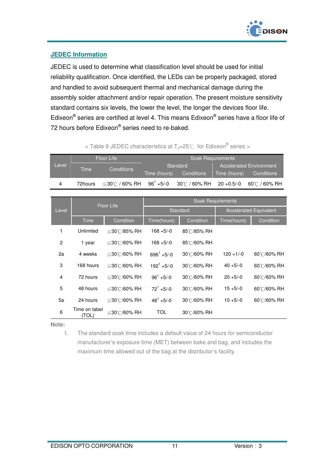

+5/-0 30℃ / 60% RH 20 +0.5/-0 60℃ / 60% RH

#### **JEDEC Information**

JEDEC is used to determine what classification level should be used for initial reliability qualification. Once identified, the LEDs can be properly packaged, stored and handled to avoid subsequent thermal and mechanical damage during the assembly solder attachment and/or repair operation. The present moisture sensitivity standard contains six levels, the lower the level, the longer the devices floor life. Edixeon<sup>®</sup> series are certified at level 4. This means Edixeon<sup>®</sup> series have a floor life of 72 hours before Edixeon® series need to re-baked.

|       |      | < Table 9 JEDEC characteristics at $T_J = 25^{\circ}C$ for Edixeon <sup>®</sup> series > |            |              |                                |  |
|-------|------|------------------------------------------------------------------------------------------|------------|--------------|--------------------------------|--|
|       |      | Floor Life                                                                               |            |              | <b>Soak Requirements</b>       |  |
| Level | Time | Conditions                                                                               |            | Standard     | <b>Accelerated Environment</b> |  |
|       |      | Time (hours)                                                                             | Conditions | Time (hours) | Conditions                     |  |

4 72hours  $\leq 30^\circ$  / 60% RH 96<sup>1</sup> +5/-0

|       |                        | <b>Floor Life</b> | <b>Soak Requirements</b> |             |                               |             |  |  |  |
|-------|------------------------|-------------------|--------------------------|-------------|-------------------------------|-------------|--|--|--|
| Level |                        |                   |                          | Standard    | <b>Accelerated Equivalent</b> |             |  |  |  |
|       | Time                   | Condition         | Time(hours)              | Condition   | Time(hours)                   | Condition   |  |  |  |
| 1     | Unlimited              | ≤30℃/85% RH       | $168 + 5/-0$             | 85°C/85% RH |                               |             |  |  |  |
| 2     | 1 year                 | ≤30℃/60% RH       | $168 + 5/-0$             | 85°C/60% RH |                               |             |  |  |  |
| 2a    | 4 weeks                | ≤30℃/60% RH       | $696^1 + 5/-0$           | 30°C/60% RH | $120 + 1/-0$                  | 60°C/60% RH |  |  |  |
| 3     | 168 hours              | ≤30℃/60% RH       | $192^1 + 5/-0$           | 30°C/60% RH | $40 + 5/-0$                   | 60°C/60% RH |  |  |  |
| 4     | 72 hours               | ≤30℃/60% RH       | $96^1 + 5/-0$            | 30°C/60% RH | $20 + 5/-0$                   | 60°C/60% RH |  |  |  |
| 5     | 48 hours               | ≤30℃/60% RH       | $72^1 + 5/-0$            | 30°C/60% RH | $15 + 5/-0$                   | 60°C/60% RH |  |  |  |
| 5a    | 24 hours               | ≤30℃/60% RH       | $48^1 + 5/-0$            | 30°C/60% RH | $10 + 5/-0$                   | 60°C/60% RH |  |  |  |
| 6     | Time on tabel<br>(TOL) | ≤30℃/60% RH       | <b>TOL</b>               | 30°C/60% RH |                               |             |  |  |  |

**Note:** 

1. The standard soak time includes a default value of 24 hours for semiconductor manufacturer's exposure time (MET) between bake and bag, and includes the maximum time allowed out of the bag at the distributor's facility.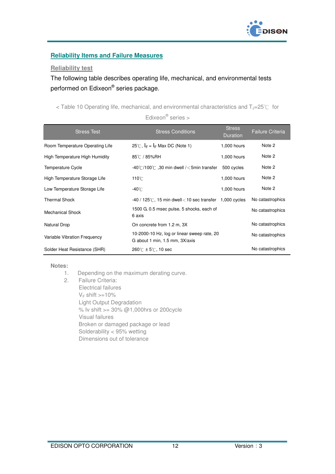

#### **Reliability Items and Failure Measures**

#### **Reliability test**

The following table describes operating life, mechanical, and environmental tests performed on Edixeon® series package.

< Table 10 Operating life, mechanical, and environmental characteristics and  $T_J=25^{\circ}C$  for

Edixeon® series >

| <b>Stress Test</b>              | <b>Stress Conditions</b>                                                      | <b>Stress</b><br><b>Duration</b> | Failure Criteria |
|---------------------------------|-------------------------------------------------------------------------------|----------------------------------|------------------|
| Room Temperature Operating Life | 25℃, $I_F = I_F$ Max DC (Note 1)                                              | 1,000 hours                      | Note 2           |
| High Temperature High Humidity  | 85℃ / 85%RH                                                                   | 1,000 hours                      | Note 2           |
| Temperature Cycle               | -40°C/100°C .30 min dwell / $<$ 5min transfer                                 | 500 cycles                       | Note 2           |
| High Temperature Storage Life   | $110^{\circ}$ C                                                               | 1,000 hours                      | Note 2           |
| Low Temperature Storage Life    | -40°C                                                                         | 1,000 hours                      | Note 2           |
| <b>Thermal Shock</b>            | $-40/125$ °C, 15 min dwell < 10 sec transfer 1,000 cycles                     |                                  | No catastrophics |
| <b>Mechanical Shock</b>         | 1500 G, 0.5 msec pulse, 5 shocks, each of<br>6 axis                           |                                  | No catastrophics |
| Natural Drop                    | On concrete from 1.2 m, 3X                                                    |                                  | No catastrophics |
| Variable Vibration Frequency    | 10-2000-10 Hz, log or linear sweep rate, 20<br>G about 1 min, 1.5 mm, 3X/axis |                                  | No catastrophics |
| Solder Heat Resistance (SHR)    | $260^{\circ}$ $\circ$ ± 5°C, 10 sec                                           |                                  | No catastrophics |

**Notes:** 

- 1. Depending on the maximum derating curve.
- 2. Failure Criteria: Electrical failures  $V_F$  shift  $>=10\%$  Light Output Degradation % Iv shift  $>= 30\%$  @1,000hrs or 200cycle Visual failures Broken or damaged package or lead Solderability < 95% wetting Dimensions out of tolerance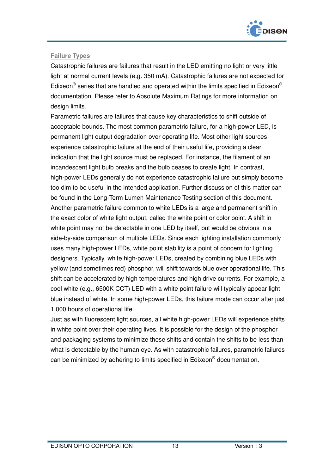

## **Failure Types**

Catastrophic failures are failures that result in the LED emitting no light or very little light at normal current levels (e.g. 350 mA). Catastrophic failures are not expected for Edixeon<sup>®</sup> series that are handled and operated within the limits specified in Edixeon<sup>®</sup> documentation. Please refer to Absolute Maximum Ratings for more information on design limits.

Parametric failures are failures that cause key characteristics to shift outside of acceptable bounds. The most common parametric failure, for a high-power LED, is permanent light output degradation over operating life. Most other light sources experience catastrophic failure at the end of their useful life, providing a clear indication that the light source must be replaced. For instance, the filament of an incandescent light bulb breaks and the bulb ceases to create light. In contrast, high-power LEDs generally do not experience catastrophic failure but simply become too dim to be useful in the intended application. Further discussion of this matter can be found in the Long-Term Lumen Maintenance Testing section of this document. Another parametric failure common to white LEDs is a large and permanent shift in the exact color of white light output, called the white point or color point. A shift in white point may not be detectable in one LED by itself, but would be obvious in a side-by-side comparison of multiple LEDs. Since each lighting installation commonly uses many high-power LEDs, white point stability is a point of concern for lighting designers. Typically, white high-power LEDs, created by combining blue LEDs with yellow (and sometimes red) phosphor, will shift towards blue over operational life. This shift can be accelerated by high temperatures and high drive currents. For example, a cool white (e.g., 6500K CCT) LED with a white point failure will typically appear light blue instead of white. In some high-power LEDs, this failure mode can occur after just 1,000 hours of operational life.

Just as with fluorescent light sources, all white high-power LEDs will experience shifts in white point over their operating lives. It is possible for the design of the phosphor and packaging systems to minimize these shifts and contain the shifts to be less than what is detectable by the human eye. As with catastrophic failures, parametric failures can be minimized by adhering to limits specified in Edixeon® documentation.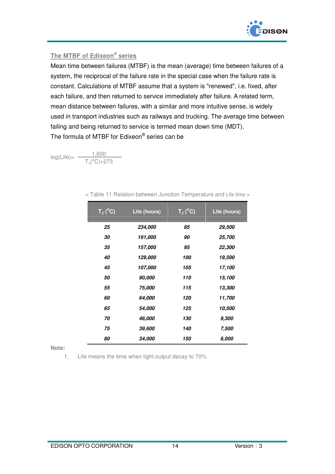

#### **The MTBF of Edixeon® series**

Mean time between failures (MTBF) is the mean (average) time between failures of a system, the reciprocal of the failure rate in the special case when the failure rate is constant. Calculations of MTBF assume that a system is "renewed", i.e. fixed, after each failure, and then returned to service immediately after failure. A related term, mean distance between failures, with a similar and more intuitive sense, is widely used in transport industries such as railways and trucking. The average time between failing and being returned to service is termed mean down time (MDT). The formula of MTBF for Edixeon® series can be

 $log(Life) = \frac{1,600}{1,600}$  $T_J(^{\circ}C)+273$ 

| $T_J(^{\circ}C)$ | Life (hours) | $T_J(^{\circ}C)$ | Life (hours)         |
|------------------|--------------|------------------|----------------------|
| 25               | 234,000      | 85               | <i><b>29,500</b></i> |
| 30               | 191,000      | 90               | 25,700               |
| 35               | 157,000      | 95               | 22,300               |
| 40               | 129,000      | 100              | 19,500               |
| 45               | 107,000      | 105              | 17,100               |
| 50               | 90,000       | 110              | 15,100               |
| 55               | 75,000       | 115              | 13,300               |
| 60               | 64,000       | 120              | 11,700               |
| 65               | 54,000       | 125              | 10,500               |
| 70               | 46,000       | 130              | 9,300                |
| 75               | 39,600       | 140              | 7,500                |
| 80               | 34.000       | 150              | 6,000                |

< Table 11 Relation between Junction Temperature and Life time >

**Note:** 

1. Life means the time when light output decay to 70%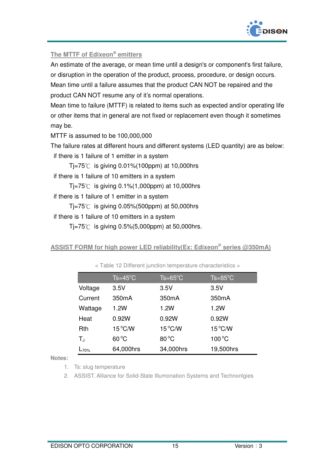

#### **The MTTF of Edixeon® emitters**

An estimate of the average, or mean time until a design's or component's first failure, or disruption in the operation of the product, process, procedure, or design occurs. Mean time until a failure assumes that the product CAN NOT be repaired and the product CAN NOT resume any of it's normal operations.

Mean time to failure (MTTF) is related to items such as expected and/or operating life or other items that in general are not fixed or replacement even though it sometimes may be.

MTTF is assumed to be 100,000,000

The failure rates at different hours and different systems (LED quantity) are as below:

if there is 1 failure of 1 emitter in a system

Tj=75℃ is giving 0.01%(100ppm) at 10,000hrs

if there is 1 failure of 10 emitters in a system

 $Ti = 75^{\circ}$  is giving 0.1%(1,000ppm) at 10,000hrs

if there is 1 failure of 1 emitter in a system

Ti=75 $°C$  is giving 0.05%(500ppm) at 50,000hrs

if there is 1 failure of 10 emitters in a system

 $Ti = 75^{\circ}$  is giving 0.5%(5,000ppm) at 50,000hrs.

**ASSIST FORM for high power LED reliability(Ex: Edixeon<sup>®</sup> series @350mA)** 

|            | $Ts = 45^{\circ}C$ | $Ts = 65^{\circ}$ C | $Ts = 85^{\circ}C$ |
|------------|--------------------|---------------------|--------------------|
| Voltage    | 3.5V               | 3.5V                | 3.5V               |
| Current    | 350 <sub>m</sub> A | 350mA               | 350mA              |
| Wattage    | 1.2W               | 1.2W                | 1.2W               |
| Heat       | 0.92W              | 0.92W               | 0.92W              |
| Rth        | $15^{\circ}$ C/W   | $15^{\circ}$ C/W    | $15^{\circ}$ C/W   |
| $T_{J}$    | $60^{\circ}$ C     | $80^{\circ}$ C      | $100^{\circ}$ C    |
| $L_{70\%}$ | 64,000hrs          | 34,000hrs           | 19,500hrs          |

< Table 12 Different junction temperature characteristics >

**Notes:** 

1. Ts: slug temperature

2. ASSIST. Alliance for Solid-State Illumonation Systems and Technonlgies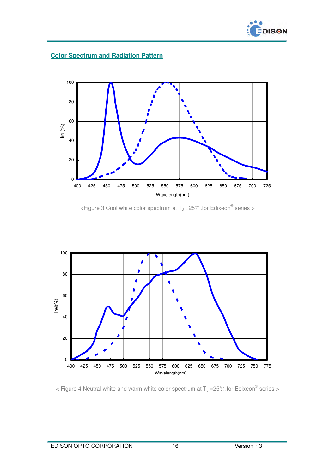

#### **Color Spectrum and Radiation Pattern**



<Figure 3 Cool white color spectrum at T<sub>J</sub> = 25°C for Edixeon<sup>®</sup> series >



< Figure 4 Neutral white and warm white color spectrum at  $T_J = 25^{\circ}$  for Edixeon<sup>®</sup> series >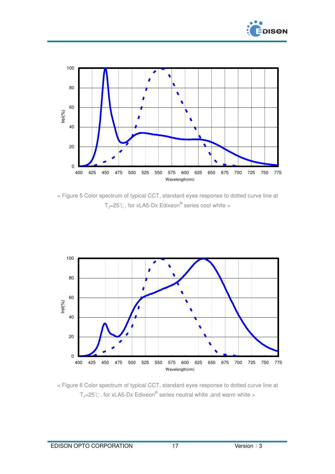



< Figure 5 Color spectrum of typical CCT, standard eyes response to dotted curve line at  $T_J$ =25°C. for xLA5-Dx Edixeon® series cool white >



< Figure 6 Color spectrum of typical CCT, standard eyes response to dotted curve line at T<sub>J</sub>=25°C . for xLA5-Dx Edixeon® series neutral white ,and warm white >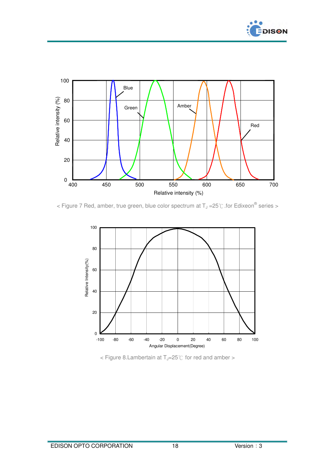



< Figure 7 Red, amber, true green, blue color spectrum at T<sub>J</sub> =25°C for Edixeon<sup>®</sup> series >



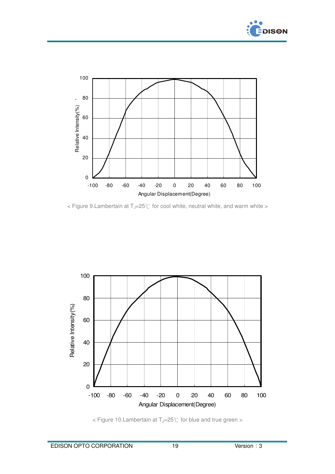



 $<$  Figure 9. Lambertain at T<sub>J</sub>=25°C for cool white, neutral white, and warm white >



< Figure 10.Lambertain at T<sub>J</sub>=25℃ for blue and true green >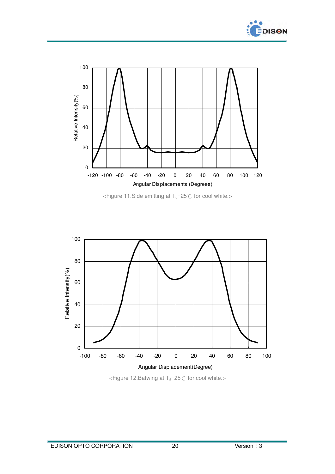







<Figure 12. Batwing at T<sub>J</sub>=25℃ for cool white.>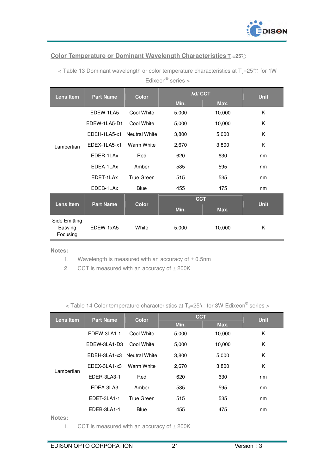

#### **Color Temperature or Dominant Wavelength Characteristics TJ=25**℃

| <b>Lens Item</b>                            | <b>Part Name</b> | <b>Color</b>         | <b>Ad/ CCT</b> | <b>Unit</b> |             |
|---------------------------------------------|------------------|----------------------|----------------|-------------|-------------|
|                                             |                  |                      | Min.           | Max.        |             |
|                                             | EDEW-1LA5        | Cool White           | 5,000          | 10,000      | K           |
|                                             | EDEW-1LA5-D1     | Cool White           | 5,000          | 10,000      | K           |
|                                             | EDEH-1LA5-x1     | <b>Neutral White</b> | 3,800          | 5,000       | K           |
| Lambertian                                  | EDEX-1LA5-x1     | Warm White           | 2,670          | 3,800       | K           |
|                                             | EDER-1LAx        | Red                  | 620            | 630         | nm          |
|                                             | EDEA-1LAx        | Amber                | 585            | 595         | nm          |
|                                             | EDET-1LAx        | True Green           | 515            | 535         | nm          |
|                                             | EDEB-1LAx        | <b>Blue</b>          | 455            | 475         | nm          |
|                                             |                  |                      | <b>CCT</b>     |             |             |
| Lens Item                                   | <b>Part Name</b> | <b>Color</b>         | Min.           | Max.        | <b>Unit</b> |
| Side Emitting<br><b>Batwing</b><br>Focusing | FDFW-1xA5        | White                | 5,000          | 10,000      | Κ           |

< Table 13 Dominant wavelength or color temperature characteristics at  $T_J=25^\circ\text{C}$  for 1W Edixeon® series >

**Notes:** 

1. Wavelength is measured with an accuracy of  $\pm$  0.5nm

2. CCT is measured with an accuracy of  $\pm$  200K

< Table 14 Color temperature characteristics at  $T_J$ =25°C for 3W Edixeon® series >

| <b>Lens Item</b> | <b>Part Name</b>           | <b>Color</b>      | <b>CCT</b> | <b>Unit</b> |    |
|------------------|----------------------------|-------------------|------------|-------------|----|
|                  |                            |                   | Min.       | Max.        |    |
|                  | EDEW-3LA1-1                | Cool White        | 5,000      | 10,000      | Κ  |
|                  | EDEW-3LA1-D3               | Cool White        | 5,000      | 10,000      | K  |
|                  | EDEH-3LA1-x3 Neutral White |                   | 3,800      | 5,000       | K  |
| Lambertian       | EDEX-3LA1-x3               | Warm White        | 2,670      | 3,800       | K  |
|                  | EDER-3LA3-1                | Red               | 620        | 630         | nm |
|                  | EDEA-3LA3                  | Amber             | 585        | 595         | nm |
|                  | EDET-3LA1-1                | <b>True Green</b> | 515        | 535         | nm |
|                  | EDEB-3LA1-1                | <b>Blue</b>       | 455        | 475         | nm |
| .                |                            |                   |            |             |    |

**Notes:** 

1. CCT is measured with an accuracy of  $\pm$  200K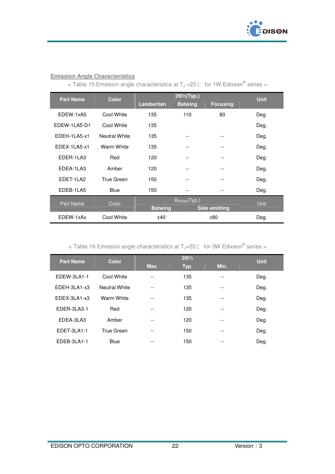

#### **Emission Angle Characteristics**

< Table 15 Emission angle characteristics at  $T_J = 25^{\circ}$  for 1W Edixeon® series >

| <b>Part Name</b><br><b>Color</b> |                   | 201/2(Typ.)       |                       |                      | <b>Unit</b> |
|----------------------------------|-------------------|-------------------|-----------------------|----------------------|-------------|
|                                  |                   | <b>Lambertian</b> | <b>Batwing</b>        | <b>Focusing</b>      |             |
| EDEW-1xA5                        | Cool White        | 135               | 110                   | 80                   | Deg.        |
| EDEW-1LA5-D1                     | Cool White        | 135               |                       |                      | Deg.        |
| FDFH-11 A5-x1                    | Neutral White     | 135               | --                    |                      | Deg.        |
| FDFX-11 A5-x1                    | Warm White        | 135               | --                    |                      | Deg.        |
| <b>FDFR-11 A3</b>                | Red               | 120               | --                    |                      | Deg.        |
| EDEA-1LA3                        | Amber             | 120               | --                    | --                   | Deg.        |
| <b>FDFT-11 A2</b>                | <b>True Green</b> | 150               | --                    | --                   | Deg.        |
| EDEB-1LA5                        | <b>Blue</b>       | 150               |                       | --                   | Deg.        |
| <b>Part Name</b>                 | Color             | <b>Batwing</b>    | $\Theta_{PEAK}(Typ.)$ | <b>Side emitting</b> | Unit        |
| EDEW-1xAx                        | Cool White        | ±40               |                       | ±80                  | Deg.        |

#### < Table 16 Emission angle characteristics at T<sub>J</sub>=25°C for 3W Edixeon® series >

| <b>Part Name</b> | <b>Color</b>         |       | $20\frac{1}{2}$ |      |             |
|------------------|----------------------|-------|-----------------|------|-------------|
|                  |                      | Max.  | Typ.            | Min. | <b>Unit</b> |
| EDEW-3LA1-1      | Cool White           | --    | 135             | $-$  | Deg.        |
| EDEH-3LA1-x3     | <b>Neutral White</b> | $-$   | 135             | $ -$ | Deg.        |
| EDEX-3LA1-x3     | Warm White           | $- -$ | 135             | $-$  | Deg.        |
| EDER-3LA3-1      | Red                  | --    | 120             | --   | Deg.        |
| EDEA-3LA3        | Amber                | $-$   | 120             | --   | Deg.        |
| EDET-3LA1-1      | True Green           | --    | 150             | $-$  | Deg.        |
| EDEB-3LA1-1      | <b>Blue</b>          | --    | 150             | --   | Deg.        |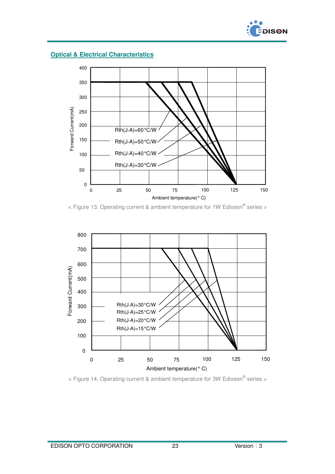

**Optical & Electrical Characteristics**



 $<$  Figure 13. Operating current & ambient temperature for 1W Edixeon<sup>®</sup> series >



 $<$  Figure 14. Operating current & ambient temperature for 3W Edixeon<sup>®</sup> series >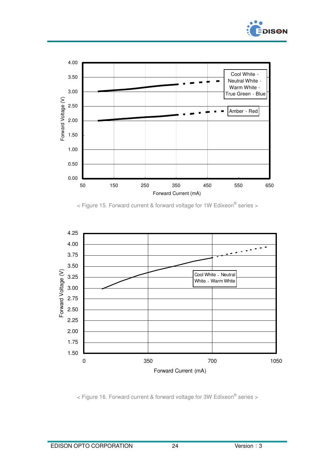







< Figure 16. Forward current & forward voltage for 3W Edixeon® series >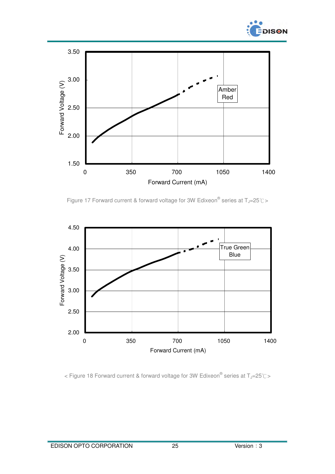



Figure 17 Forward current & forward voltage for 3W Edixeon® series at  $T_J=25^{\circ}$ C >



< Figure 18 Forward current & forward voltage for 3W Edixeon® series at T<sub>J</sub>=25℃>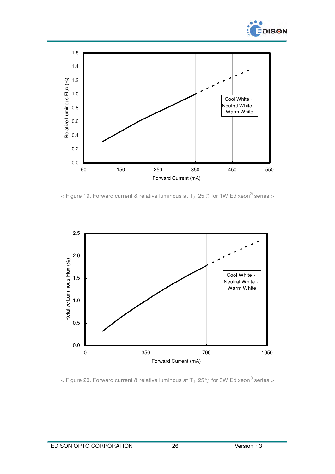



< Figure 19. Forward current & relative luminous at  $T_J$ =25°C for 1W Edixeon<sup>®</sup> series >



< Figure 20. Forward current & relative luminous at  $T_J$ =25°C for 3W Edixeon<sup>®</sup> series >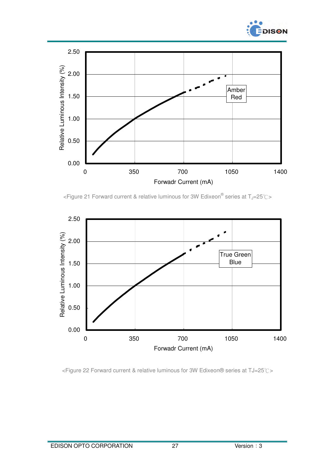



<sup>&</sup>lt;Figure 21 Forward current & relative luminous for 3W Edixeon® series at T<sub>J</sub>=25℃>



<Figure 22 Forward current & relative luminous for 3W Edixeon® series at TJ=25℃>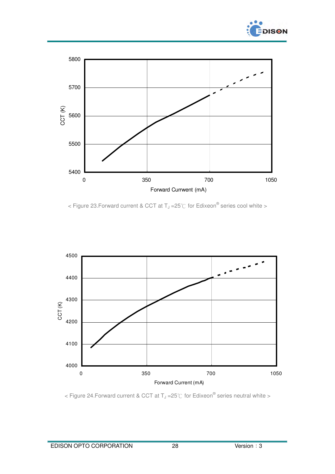



< Figure 23. Forward current & CCT at T<sub>J</sub> = 25°C for Edixeon<sup>®</sup> series cool white >



< Figure 24. Forward current & CCT at T<sub>J</sub> = 25°C for Edixeon<sup>®</sup> series neutral white >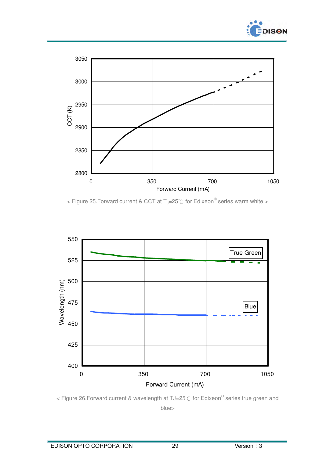



< Figure 25. Forward current & CCT at T<sub>J</sub>=25°C for Edixeon® series warm white >



< Figure 26.Forward current & wavelength at TJ=25℃ for Edixeon® series true green and blue>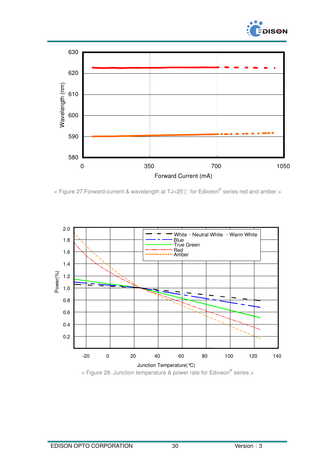



< Figure 27. Forward current & wavelength at TJ=25°C for Edixeon® series red and amber >



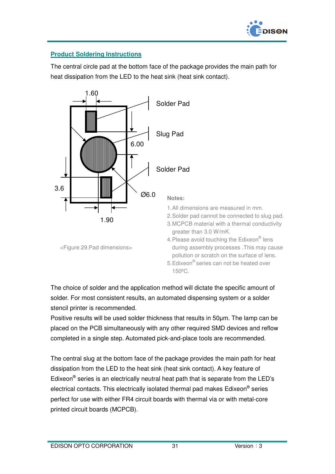

# **Product Soldering Instructions**

The central circle pad at the bottom face of the package provides the main path for heat dissipation from the LED to the heat sink (heat sink contact).



The choice of solder and the application method will dictate the specific amount of solder. For most consistent results, an automated dispensing system or a solder stencil printer is recommended.

Positive results will be used solder thickness that results in 50µm. The lamp can be placed on the PCB simultaneously with any other required SMD devices and reflow completed in a single step. Automated pick-and-place tools are recommended.

The central slug at the bottom face of the package provides the main path for heat dissipation from the LED to the heat sink (heat sink contact). A key feature of Edixeon<sup>®</sup> series is an electrically neutral heat path that is separate from the LED's electrical contacts. This electrically isolated thermal pad makes Edixeon® series perfect for use with either FR4 circuit boards with thermal via or with metal-core printed circuit boards (MCPCB).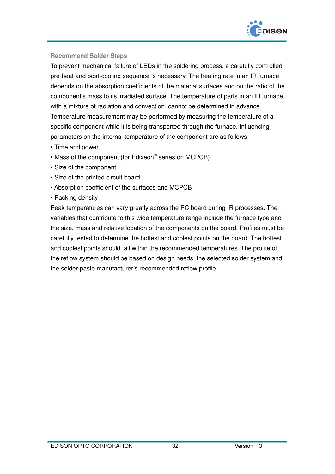

#### **Recommend Solder Steps**

To prevent mechanical failure of LEDs in the soldering process, a carefully controlled pre-heat and post-cooling sequence is necessary. The heating rate in an IR furnace depends on the absorption coefficients of the material surfaces and on the ratio of the component's mass to its irradiated surface. The temperature of parts in an IR furnace, with a mixture of radiation and convection, cannot be determined in advance. Temperature measurement may be performed by measuring the temperature of a specific component while it is being transported through the furnace. Influencing parameters on the internal temperature of the component are as follows:

- Time and power
- Mass of the component (for Edixeon® series on MCPCB)
- Size of the component
- Size of the printed circuit board
- Absorption coefficient of the surfaces and MCPCB
- Packing density

Peak temperatures can vary greatly across the PC board during IR processes. The variables that contribute to this wide temperature range include the furnace type and the size, mass and relative location of the components on the board. Profiles must be carefully tested to determine the hottest and coolest points on the board. The hottest and coolest points should fall within the recommended temperatures. The profile of the reflow system should be based on design needs, the selected solder system and the solder-paste manufacturer's recommended reflow profile.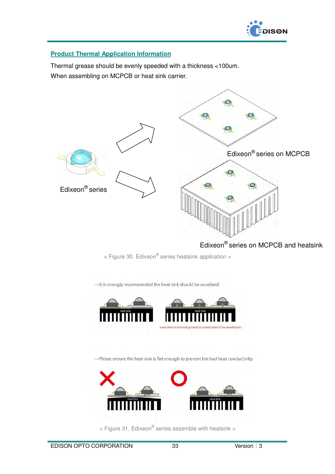

#### **Product Thermal Application Information**

Thermal grease should be evenly speeded with a thickness <100um. When assembling on MCPCB or heat sink carrier.



# Edixeon® series on MCPCB and heatsink

 $<$  Figure 30. Edixeon $^{\circledR}$  series heatsink application  $>$ 

- It is strongly recommanded the heat sink should be anodized.



-Please ensure the heat sink is flat enough to prevent the bad heat conductivity.



 $<$  Figure 31. Edixeon $^{\circ}$  series assemble with heatsink >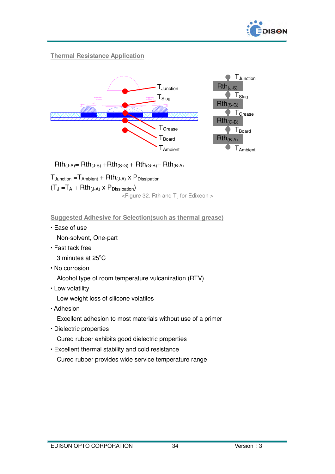

## **Thermal Resistance Application**



 $Rth_{(J-A)} = Rth_{(J-S)} + Rth_{(S-G)} + Rth_{(G-B)} + Rth_{(B-A)}$ 

 $T_{\text{Junction}} = T_{\text{Ambient}} + Rth_{(J-A)} \times P_{\text{Disisipation}}$  $(T_J = T_A + Rth_{(J-A)} \times P_{Dissipation})$  $\leq$  Figure 32. Rth and T<sub>J</sub> for Edixeon  $>$ 

**Suggested Adhesive for Selection(such as thermal grease)**

Ease of use

Non-solvent, One-part

Fast tack free

3 minutes at 25°C

No corrosion

Alcohol type of room temperature vulcanization (RTV)

Low volatility

Low weight loss of silicone volatiles

Adhesion

Excellent adhesion to most materials without use of a primer

- Dielectric properties
	- Cured rubber exhibits good dielectric properties
- Excellent thermal stability and cold resistance

Cured rubber provides wide service temperature range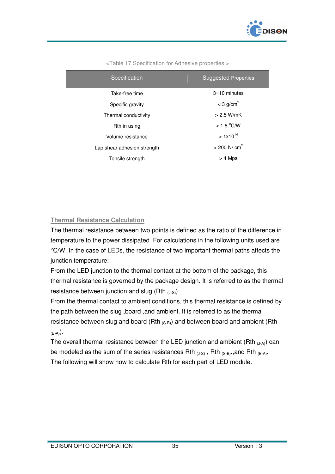

| Specification               | <b>Suggested Properties</b> |
|-----------------------------|-----------------------------|
| Take-free time              | $3~10$ minutes              |
| Specific gravity            | $<$ 3 g/cm <sup>2</sup>     |
| Thermal conductivity        | $> 2.5$ W/mK                |
| Rth in using                | < 1.8 °C/W                  |
| Volume resistance           | $>1x10^{14}$                |
| Lap shear adhesion strength | $> 200$ N/ cm <sup>2</sup>  |
| Tensile strength            | > 4 Mpa                     |

<Table 17 Specification for Adhesive properties >

#### **Thermal Resistance Calculation**

The thermal resistance between two points is defined as the ratio of the difference in temperature to the power dissipated. For calculations in the following units used are °C/W. In the case of LEDs, the resistance of two important thermal paths affects the junction temperature:

From the LED junction to the thermal contact at the bottom of the package, this thermal resistance is governed by the package design. It is referred to as the thermal resistance between junction and slug (Rth  $_{(J-S)}$ )

From the thermal contact to ambient conditions, this thermal resistance is defined by the path between the slug ,board ,and ambient. It is referred to as the thermal resistance between slug and board (Rth  $_{(S-B)}$ ) and between board and ambient (Rth  $(B-A)$ .

The overall thermal resistance between the LED junction and ambient (Rth  $_{(J-A)}$ ) can be modeled as the sum of the series resistances Rth  $_{(J-S)}$ , Rth  $_{(S-B)}$ , and Rth  $_{(B-A)}$ . The following will show how to calculate Rth for each part of LED module.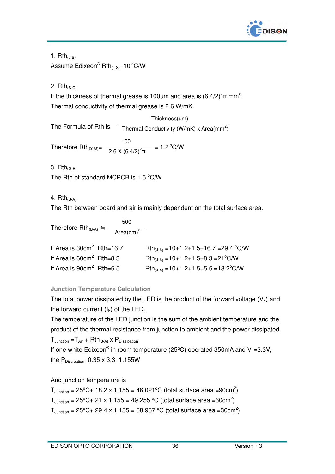

1.  $Rth_{(1-S)}$ Assume  $\mathsf{Edixeon}^\circledR\mathsf{Rth}_{(\mathsf{J}\text{-}\mathsf{S})}\text{=} \mathsf{10} \,{}^\circ \mathsf{C}/\mathsf{W}$ 

2.  $Rth_{(S-G)}$ 

If the thickness of thermal grease is 100um and area is  $(6.4/2)^2\pi$  mm<sup>2</sup>. Thermal conductivity of thermal grease is 2.6 W/mK.

The Formula of Rth is Therefore Rth<sub>(S-G)</sub>=  $\frac{180 \times 10^{-2}}{2.8 \times 10^{-2}}$  = 1.2<sup>o</sup>C/W Thermal Conductivity (W/mK) x Area(mm<sup>2</sup>) Thickness(um) 2.6 X  $(6.4/2)^2$ π 100

3.  $Rth_{(G-B)}$ 

The Rth of standard MCPCB is  $1.5 \degree$ C/W

#### 4.  $Rth_{(B-A)}$

The Rth between board and air is mainly dependent on the total surface area.

Therefore 
$$
Rth_{(B-A)} = \frac{500}{Area(cm)^2}
$$

| If Area is $30 \text{cm}^2$ Rth=16.7 | $Rth_{(J-A)} = 10+1.2+1.5+16.7 = 29.4 °C/W$       |
|--------------------------------------|---------------------------------------------------|
| If Area is $60 \text{cm}^2$ Rth=8.3  | $Rth_{(J-A)} = 10+1.2+1.5+8.3 = 21^{\circ}$ C/W   |
| If Area is $90 \text{cm}^2$ Rth=5.5  | $Rth_{(J-A)} = 10+1.2+1.5+5.5 = 18.2^{\circ}$ C/W |

# **Junction Temperature Calculation**

The total power dissipated by the LED is the product of the forward voltage  $(V_F)$  and the forward current  $(I_F)$  of the LED.

The temperature of the LED junction is the sum of the ambient temperature and the product of the thermal resistance from junction to ambient and the power dissipated.  $T_{\text{Junction}} = T_{\text{Air}} + \text{Rth}_{(J-A)} \times P_{\text{Dissipation}}$ 

If one white Edixeon® in room temperature (25°C) operated 350mA and V<sub>F</sub>=3.3V, the  $P_{Disipation}=0.35 \times 3.3=1.155W$ 

# And junction temperature is

 $T_{\text{Junction}} = 25^{\circ}C + 18.2 \times 1.155 = 46.021^{\circ}C$  (total surface area =90cm<sup>2</sup>)  $T_{\text{Junction}} = 25^{\circ}C + 21 \times 1.155 = 49.255 \text{ }^{\circ}C$  (total surface area =60cm<sup>2</sup>)  $T_{\text{Junction}} = 25^{\circ}C + 29.4 \times 1.155 = 58.957 \text{ }^{\circ}C$  (total surface area = 30cm<sup>2</sup>)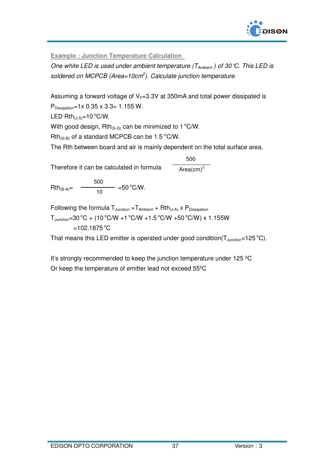

**Example : Junction Temperature Calculation** 

One white LED is used under ambient temperature ( $T_{\text{Ambient}}$ ) of 30 °C. This LED is soldered on MCPCB (Area=10 $cm<sup>2</sup>$ ). Calculate junction temperature.

Assuming a forward voltage of  $V_F=3.3V$  at 350mA and total power dissipated is

PDissipation=1x 0.35 x 3.3= 1.155 W.

LED  $Rth_{(J-S)}=10^{\circ}C/W$ .

With good design, Rth $_{(S-G)}$  can be minimized to 1<sup>o</sup>C/W.

 $Rth_{(G-B)}$  of a standard MCPCB can be 1.5 °C/W.

The Rth between board and air is mainly dependent on the total surface area.

Therefore it can be calculated in formula  $Area(cm)^2$ 500

 $Rth_{(B-A)} = \frac{10}{10} = 50^{\circ}C/W.$ 500

Following the formula  $T_{\text{Junction}} = T_{\text{Ambient}} + Rth_{(J-A)} \times P_{\text{Dissipation}}$ 

 $T_{\text{Junction}} = 30\text{ °C} + (10\text{ °C/W} + 1\text{ °C/W} + 1.5\text{ °C/W} + 50\text{ °C/W}) \times 1.155\text{W}$ 

 $=102.1875^{\circ}C$ 

That means this LED emitter is operated under good condition( $T_{\text{Junction}}$ <125 °C).

It's strongly recommended to keep the junction temperature under 125 ºC Or keep the temperature of emitter lead not exceed 55ºC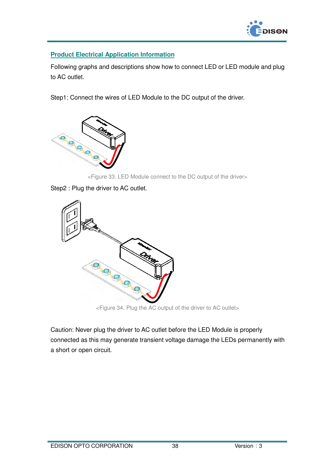

#### **Product Electrical Application Information**

Following graphs and descriptions show how to connect LED or LED module and plug to AC outlet.

Step1: Connect the wires of LED Module to the DC output of the driver.



<Figure 33. LED Module connect to the DC output of the driver>

Step2 : Plug the driver to AC outlet.



<Figure 34. Plug the AC output of the driver to AC outlet>

Caution: Never plug the driver to AC outlet before the LED Module is properly connected as this may generate transient voltage damage the LEDs permanently with a short or open circuit.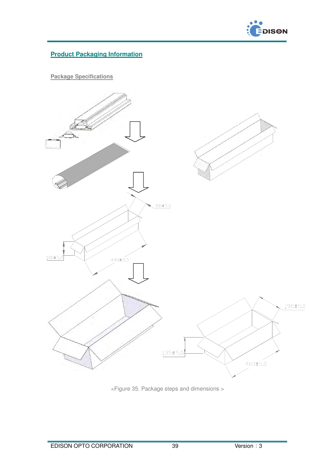

# **Product Packaging Information**

**Package Specifications**



<Figure 35. Package steps and dimensions >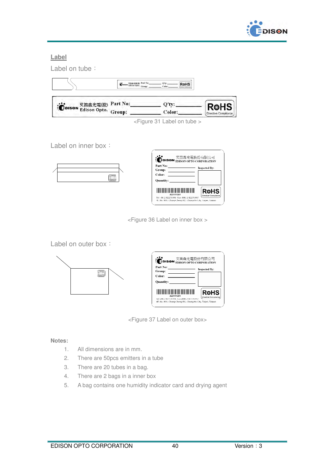

#### **Label**



Label on inner box:



| Part No:         |  | <b>EDISON</b> <del>X EIMAL RUNAW ISSUED</del> |
|------------------|--|-----------------------------------------------|
| Group:           |  | <b>Inspected By:</b>                          |
| Color:           |  |                                               |
| <b>Ouantity:</b> |  |                                               |
|                  |  | Rohs                                          |

<Figure 36 Label on inner box >

Label on outer box:



| <b>EDISON</b>             |                                                                                                      | 艾笛森光雷股份有限公司<br><b>FDISON OPTO CORPORATION</b> |
|---------------------------|------------------------------------------------------------------------------------------------------|-----------------------------------------------|
| Part No:<br><b>Croup:</b> |                                                                                                      | <b>Inspected By:</b>                          |
| Color:                    |                                                                                                      |                                               |
| <b>Ouantity:</b>          |                                                                                                      |                                               |
|                           | A221111201                                                                                           | Rohs<br>Directive Compliance                  |
|                           | Tel +86-2-82276996 Fax+886-2-82276997<br>4F. No. 800, Chung-Cheng Rd., Chung-Ho City, Taipei, Taiwan |                                               |

<Figure 37 Label on outer box>

#### **Notes:**

- 1. All dimensions are in mm.
- 2. There are 50pcs emitters in a tube
- 3. There are 20 tubes in a bag.
- 4. There are 2 bags in a inner box
- 5. A bag contains one humidity indicator card and drying agent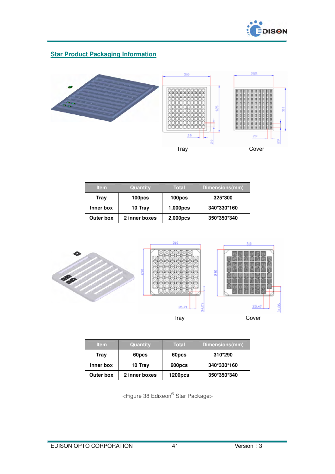

# **Star Product Packaging Information**



| <b>Item</b> | Quantity      | <b>Total</b> | Dimensions(mm) |
|-------------|---------------|--------------|----------------|
| <b>Tray</b> | 100pcs        | 100pcs       | 325*300        |
| Inner box   | 10 Tray       | 1,000pcs     | 340*330*160    |
| Outer box   | 2 inner boxes | 2,000pcs     | 350*350*340    |



| <b>Item</b> | Quantity      | Total          | Dimensions(mm) |
|-------------|---------------|----------------|----------------|
| Tray        | 60pcs         | 60pcs          | 310*290        |
| Inner box   | 10 Tray       | 600pcs         | 340*330*160    |
| Outer box   | 2 inner boxes | <b>1200pcs</b> | 350*350*340    |

<Figure 38 Edixeon® Star Package>